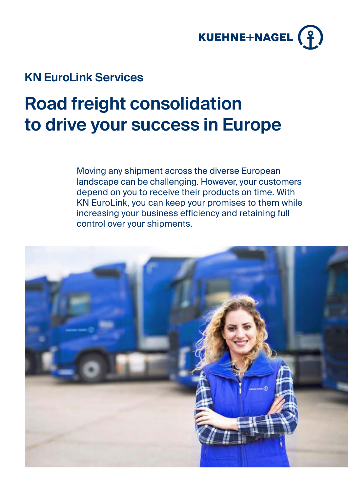

### **KN EuroLink Services**

## **Road freight consolidation to drive your success in Europe**

Moving any shipment across the diverse European landscape can be challenging. However, your customers depend on you to receive their products on time. With KN EuroLink, you can keep your promises to them while increasing your business efficiency and retaining full control over your shipments.